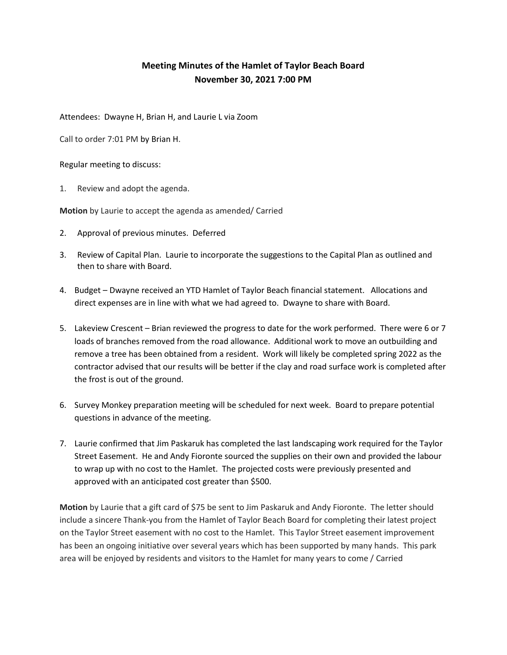## Meeting Minutes of the Hamlet of Taylor Beach Board November 30, 2021 7:00 PM

Attendees: Dwayne H, Brian H, and Laurie L via Zoom

Call to order 7:01 PM by Brian H.

Regular meeting to discuss:

1. Review and adopt the agenda.

Motion by Laurie to accept the agenda as amended/ Carried

- 2. Approval of previous minutes. Deferred
- 3. Review of Capital Plan. Laurie to incorporate the suggestions to the Capital Plan as outlined and then to share with Board.
- 4. Budget Dwayne received an YTD Hamlet of Taylor Beach financial statement. Allocations and direct expenses are in line with what we had agreed to. Dwayne to share with Board.
- 5. Lakeview Crescent Brian reviewed the progress to date for the work performed. There were 6 or 7 loads of branches removed from the road allowance. Additional work to move an outbuilding and remove a tree has been obtained from a resident. Work will likely be completed spring 2022 as the contractor advised that our results will be better if the clay and road surface work is completed after the frost is out of the ground.
- 6. Survey Monkey preparation meeting will be scheduled for next week. Board to prepare potential questions in advance of the meeting.
- 7. Laurie confirmed that Jim Paskaruk has completed the last landscaping work required for the Taylor Street Easement. He and Andy Fioronte sourced the supplies on their own and provided the labour to wrap up with no cost to the Hamlet. The projected costs were previously presented and approved with an anticipated cost greater than \$500.

Motion by Laurie that a gift card of \$75 be sent to Jim Paskaruk and Andy Fioronte. The letter should include a sincere Thank-you from the Hamlet of Taylor Beach Board for completing their latest project on the Taylor Street easement with no cost to the Hamlet. This Taylor Street easement improvement has been an ongoing initiative over several years which has been supported by many hands. This park area will be enjoyed by residents and visitors to the Hamlet for many years to come / Carried